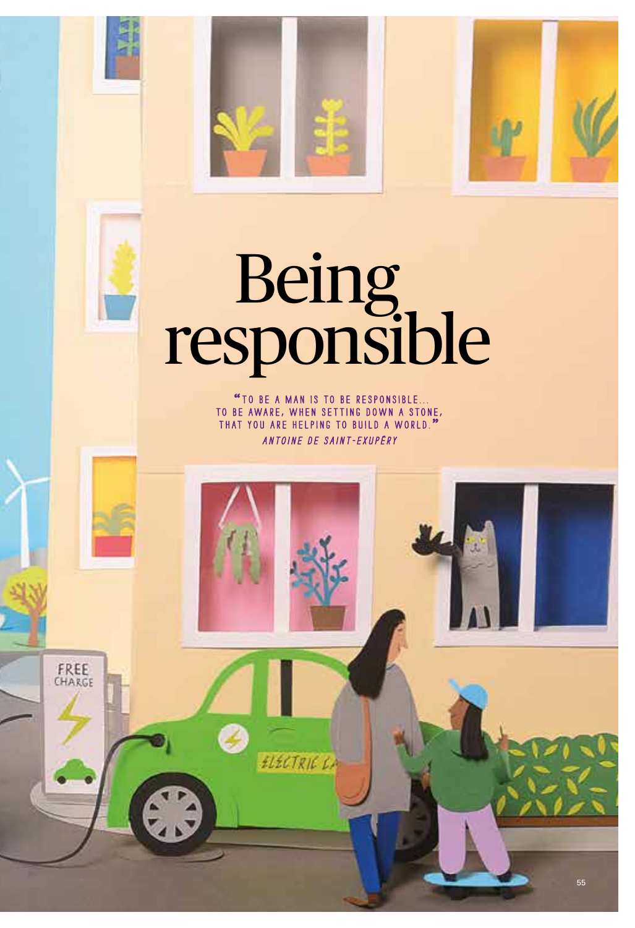

# Being<br>responsible

"TO BE A MAN IS TO BE RESPONSIBLE... TO BE AWARE, WHEN SETTING DOWN A STONE, that you are helping to build a world." Antoine de Saint-Exupéry

ELECTRIC CA

FREE CHARGE 媊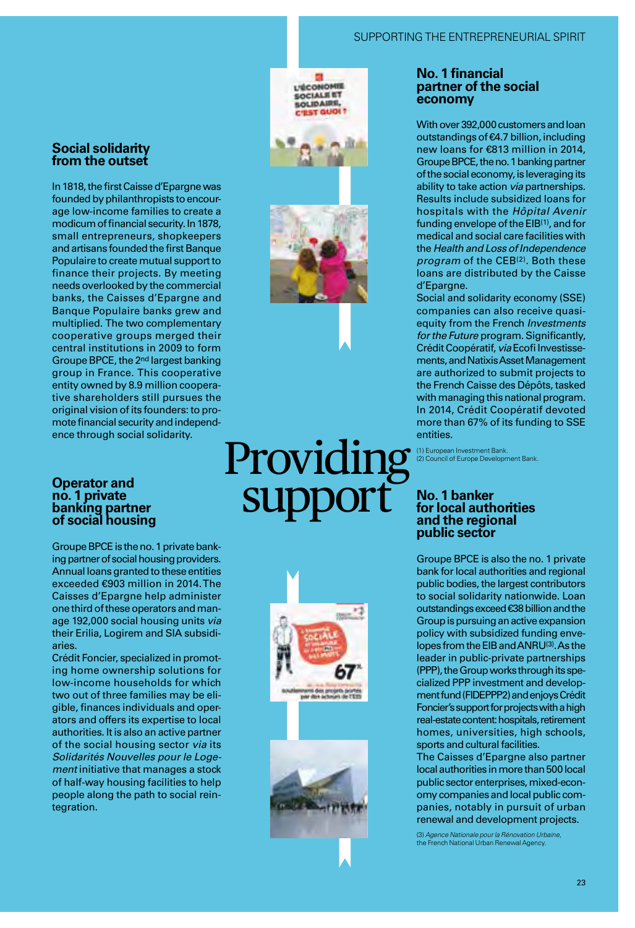#### SUPPORTING THE ENTREPRENEURIAL SPIRIT

#### **Social solidarity from the outset**

In 1818, the first Caisse d'Epargne was founded by philanthropists to encourage low-income families to create a modicum of financial security. In 1878, small entrepreneurs, shopkeepers and artisans founded the first Banque Populaire to create mutual support to finance their projects. By meeting needs overlooked by the commercial banks, the Caisses d'Epargne and Banque Populaire banks grew and multiplied. The two complementary cooperative groups merged their central institutions in 2009 to form Groupe BPCE, the 2nd largest banking group in France. This cooperative entity owned by 8.9 million cooperative shareholders still pursues the original vision of its founders: to promote financial security and independence through social solidarity.

#### **Operator and no. 1 private banking partner of social housing**

Groupe BPCE is the no. 1 private banking partner of social housing providers. Annual loans granted to these entities exceeded €903 million in 2014. The Caisses d'Epargne help administer one third of these operators and manage 192,000 social housing units *via*  their Erilia, Logirem and SIA subsidiaries.

Crédit Foncier, specialized in promoting home ownership solutions for low-income households for which two out of three families may be eligible, finances individuals and operators and offers its expertise to local authorities. It is also an active partner of the social housing sector *via* its *Solidarités Nouvelles pour le Logement* initiative that manages a stock of half-way housing facilities to help people along the path to social reintegration.

### **L'ÉCONOMI SOCIALE ET IDAIRE**



## **Providing** support



#### **No. 1 financial partner of the social economy**

With over 392,000 customers and loan outstandings of €4.7 billion, including new loans for €813 million in 2014, Groupe BPCE, the no. 1 banking partner of the social economy, is leveraging its ability to take action *via* partnerships. Results include subsidized loans for hospitals with the *Hôpital Avenir* funding envelope of the  $EIB<sup>(1)</sup>$ , and for medical and social care facilities with the *Health and Loss of Independence program* of the CEB<sup>(2)</sup>. Both these loans are distributed by the Caisse d'Epargne.

Social and solidarity economy (SSE) companies can also receive quasiequity from the French *Investments for the Future* program. Significantly, Crédit Coopératif, *via* Ecofi Investissements, and Natixis Asset Management are authorized to submit projects to the French Caisse des Dépôts, tasked with managing this national program. In 2014, Crédit Coopératif devoted more than 67% of its funding to SSE entities.

(1) European Investment Bank. (2) Council of Europe Development Bank.

#### **No. 1 banker for local authorities and the regional public sector**

Groupe BPCE is also the no. 1 private bank for local authorities and regional public bodies, the largest contributors to social solidarity nationwide. Loan outstandings exceed €38 billion and the Group is pursuing an active expansion policy with subsidized funding envelopes from the EIB and ANRU(3). As the leader in public-private partnerships (PPP), the Group works through its specialized PPP investment and development fund (FIDEPPP2) and enjoys Crédit Foncier's support for projects with a high real-estate content: hospitals, retirement homes, universities, high schools, sports and cultural facilities.

The Caisses d'Epargne also partner local authorities in more than 500 local public sector enterprises, mixed-economy companies and local public companies, notably in pursuit of urban renewal and development projects.

(3) *Agence Nationale pour la Rénovation Urbaine*, the French National Urban Renewal Agency.

23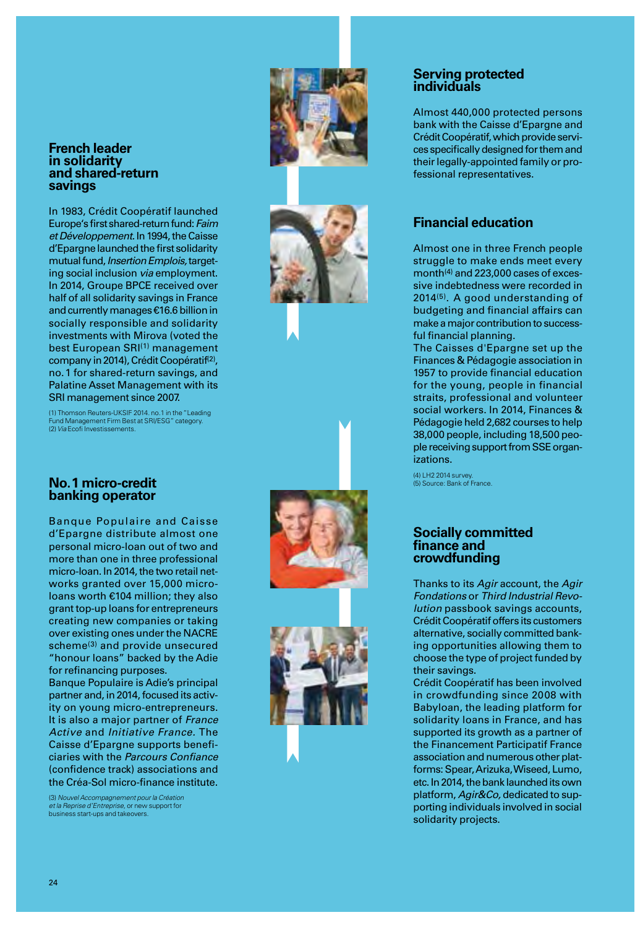#### **French leader in solidarity and shared-return savings**

In 1983, Crédit Coopératif launched Europe's first shared-return fund: *Faim et Développement.* In 1994, the Caisse d'Epargne launched the first solidarity mutual fund, *Insertion Emplois,* target ing social inclusion *via* employment. In 2014, Groupe BPCE received over half of all solidarity savings in France and currently manages €16.6 billion in socially responsible and solidarity investments with Mirova (voted the best European SRI<sup>(1)</sup> management company in 2014), Crédit Coopératif<sup>(2)</sup>, no.1 for shared-return savings, and Palatine Asset Management with its SRI management since 2007.

(1) Thomson Reuters-UKSIF 2014. no.1 in the "Leading Fund Management Firm Best at SRI/ESG" category. (2) *Via* Ecofi Investissements.

#### **No.1 micro-credit banking operator**

Banque Populaire and Caisse d'Epargne distribute almost one personal micro-loan out of two and more than one in three professional micro-loan. In 2014, the two retail net works granted over 15,000 microloans worth €104 million; they also grant top-up loans for entrepreneurs creating new companies or taking over existing ones under the NACRE scheme(3) and provide unsecured "honour loans" backed by the Adie for refinancing purposes.

Banque Populaire is Adie's principal partner and, in 2014, focused its activ ity on young micro-entrepreneurs. It is also a major partner of *France Active* and *Initiative France.* The Caisse d'Epargne supports benefi ciaries with the *Parcours Confiance*  (confidence track) associations and the Créa-Sol micro-finance institute.

(3) *Nouvel Accompagnement pour la Création et la Reprise d'Entreprise,* or new support for business start-ups and takeovers.









#### **Serving protected individuals**

Almost 440,000 protected persons bank with the Caisse d'Epargne and Crédit Coopératif, which provide services specifically designed for them and their legally-appointed family or pro fessional representatives.

#### **Financial education**

Almost one in three French people struggle to make ends meet every month(4) and 223,000 cases of exces sive indebtedness were recorded in 2014(5). A good understanding of budgeting and financial affairs can make a major contribution to success ful financial planning.

The Caisses d'Epargne set up the Finances & Pédagogie association in 1957 to provide financial education for the young, people in financial straits, professional and volunteer social workers. In 2014, Finances & Pédagogie held 2,682 courses to help 38,000 people, including 18,500 peo ple receiving support from SSE organ izations.

(4) LH2 2014 survey. (5) Source: Bank of France.

#### **Socially committed finance and crowdfunding**

Thanks to its *Agir* account, the *Agir Fondations* or *Third Industrial Revo lution* passbook savings accounts, Crédit Coopératif offers its customers alternative, socially committed bank ing opportunities allowing them to choose the type of project funded by their savings.

Crédit Coopératif has been involved in crowdfunding since 2008 with Babyloan, the leading platform for solidarity loans in France, and has supported its growth as a partner of the Financement Participatif France association and numerous other plat forms: Spear, Arizuka, Wiseed, Lumo, etc. In 2014, the bank launched its own platform, *Agir&Co,* dedicated to sup porting individuals involved in social solidarity projects.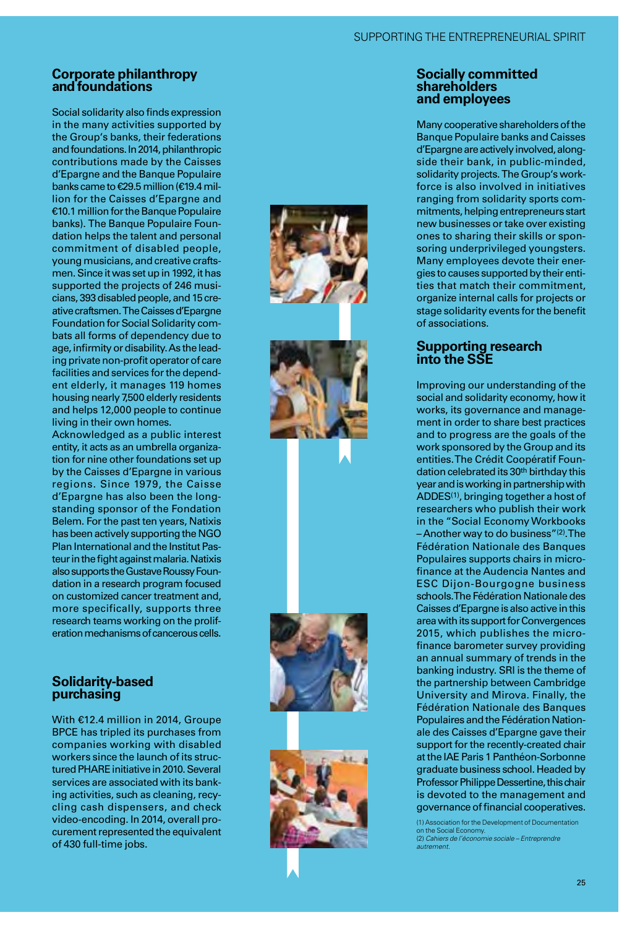#### **Corporate philanthropy and foundations**

Social solidarity also finds expression in the many activities supported by the Group's banks, their federations and foundations. In 2014, philanthropic contributions made by the Caisses d'Epargne and the Banque Populaire banks came to €29.5 million (€19.4 million for the Caisses d'Epargne and €10.1 million for the Banque Populaire banks). The Banque Populaire Foun dation helps the talent and personal commitment of disabled people, young musicians, and creative crafts men. Since it was set up in 1992, it has supported the projects of 246 musi cians, 393 disabled people, and 15 cre ative craftsmen. The Caisses d'Epargne Foundation for Social Solidarity com bats all forms of dependency due to age, infirmity or disability. As the lead ing private non-profit operator of care facilities and services for the depend ent elderly, it manages 119 homes housing nearly 7,500 elderly residents and helps 12,000 people to continue living in their own homes.

Acknowledged as a public interest entity, it acts as an umbrella organiza tion for nine other foundations set up by the Caisses d'Epargne in various regions. Since 1979, the Caisse d'Epargne has also been the longstanding sponsor of the Fondation Belem. For the past ten years, Natixis has been actively supporting the NGO Plan International and the Institut Pas teur in the fight against malaria. Natixis also supports the Gustave Roussy Foun dation in a research program focused on customized cancer treatment and, more specifically, supports three research teams working on the prolif eration mechanisms of cancerous cells.

#### **Solidarity-based purchasing**

With €12.4 million in 2014, Groupe BPCE has tripled its purchases from companies working with disabled workers since the launch of its struc tured PHARE initiative in 2010. Several services are associated with its bank ing activities, such as cleaning, recy cling cash dispensers, and check video-encoding. In 2014, overall pro curement represented the equivalent of 430 full-time jobs.



#### **Socially committed shareholders and employees**

Many cooperative shareholders of the Banque Populaire banks and Caisses d'Epargne are actively involved, along side their bank, in public-minded, solidarity projects. The Group's work force is also involved in initiatives ranging from solidarity sports com mitments, helping entrepreneurs start new businesses or take over existing ones to sharing their skills or spon soring underprivileged youngsters. Many employees devote their energies to causes supported by their entities that match their commitment, organize internal calls for projects or stage solidarity events for the benefit of associations.

#### **Supporting research into the SSE**

Improving our understanding of the social and solidarity economy, how it works, its governance and manage ment in order to share best practices and to progress are the goals of the work sponsored by the Group and its entities. The Crédit Coopératif Foun dation celebrated its 30<sup>th</sup> birthday this year and is working in partnership with ADDES(1), bringing together a host of researchers who publish their work in the "Social Economy Workbooks – Another way to do business"(2). The Fédération Nationale des Banques Populaires supports chairs in microfinance at the Audencia Nantes and ESC Dijon-Bourgogne business schools. The Fédération Nationale des Caisses d'Epargne is also active in this area with its support for Convergences 2015, which publishes the microfinance barometer survey providing an annual summary of trends in the banking industry. SRI is the theme of the partnership between Cambridge University and Mirova. Finally, the Fédération Nationale des Banques Populaires and the Fédération Nation ale des Caisses d'Epargne gave their support for the recently-created chair at the IAE Paris 1 Panthéon-Sorbonne graduate business school. Headed by Professor Philippe Dessertine, this chair is devoted to the management and governance of financial cooperatives.

(1) Association for the Development of Documentation on the Social Economy. (2) *Cahiers de l'économie sociale – Entreprendre autrement.*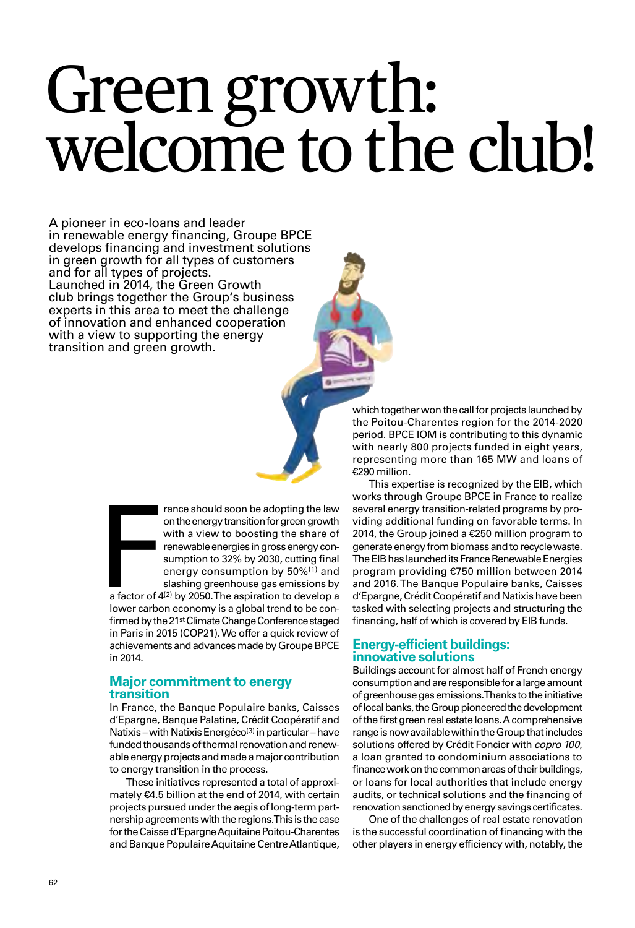# Green growth: welcome to the club!

A pioneer in eco-loans and leader in renewable energy financing, Groupe BPCE develops financing and investment solutions in green growth for all types of customers and for all types of projects. Launched in 2014, the Green Growth club brings together the Group's business experts in this area to meet the challenge of innovation and enhanced cooperation with a view to supporting the energy transition and green growth.

> France should soon be adopting the law<br>on the energy transition for green growth<br>with a view to boosting the share of<br>renewable energies in gross energy con-<br>sumption to 32% by 2030, cutting final<br>energy consumption by 50 on the energy transition for green growth with a view to boosting the share of renewable energies in gross energy consumption to 32% by 2030, cutting final energy consumption by 50%(1) and slashing greenhouse gas emissions by

a factor of 4(2) by 2050. The aspiration to develop a lower carbon economy is a global trend to be confirmed by the 21st Climate Change Conference staged in Paris in 2015 (COP21). We offer a quick review of achievements and advances made by Groupe BPCE in 2014.

#### **Major commitment to energy transition**

In France, the Banque Populaire banks, Caisses d'Epargne, Banque Palatine, Crédit Coopératif and Natixis – with Natixis Energéco<sup>(3)</sup> in particular – have funded thousands of thermal renovation and renewable energy projects and made a major contribution to energy transition in the process.

These initiatives represented a total of approximately €4.5 billion at the end of 2014, with certain projects pursued under the aegis of long-term partnership agreements with the regions. This is the case for the Caisse d'Epargne Aquitaine Poitou-Charentes and Banque Populaire Aquitaine Centre Atlantique,

which together won the call for projects launched by the Poitou-Charentes region for the 2014-2020 period. BPCE IOM is contributing to this dynamic with nearly 800 projects funded in eight years, representing more than 165 MW and loans of €290 million.

This expertise is recognized by the EIB, which works through Groupe BPCE in France to realize several energy transition-related programs by providing additional funding on favorable terms. In 2014, the Group joined a €250 million program to generate energy from biomass and to recycle waste. The EIB has launched its France Renewable Energies program providing €750 million between 2014 and 2016. The Banque Populaire banks, Caisses d'Epargne, Crédit Coopératif and Natixis have been tasked with selecting projects and structuring the financing, half of which is covered by EIB funds.

#### **Energy-efficient buildings: innovative solutions**

Buildings account for almost half of French energy consumption and are responsible for a large amount of greenhouse gas emissions. Thanks to the initiative of local banks, the Group pioneered the development of the first green real estate loans. A comprehensive range is now available within the Group that includes solutions offered by Crédit Foncier with *copro 100*, a loan granted to condominium associations to finance work on the common areas of their buildings, or loans for local authorities that include energy audits, or technical solutions and the financing of renovation sanctioned by energy savings certificates.

One of the challenges of real estate renovation is the successful coordination of financing with the other players in energy efficiency with, notably, the